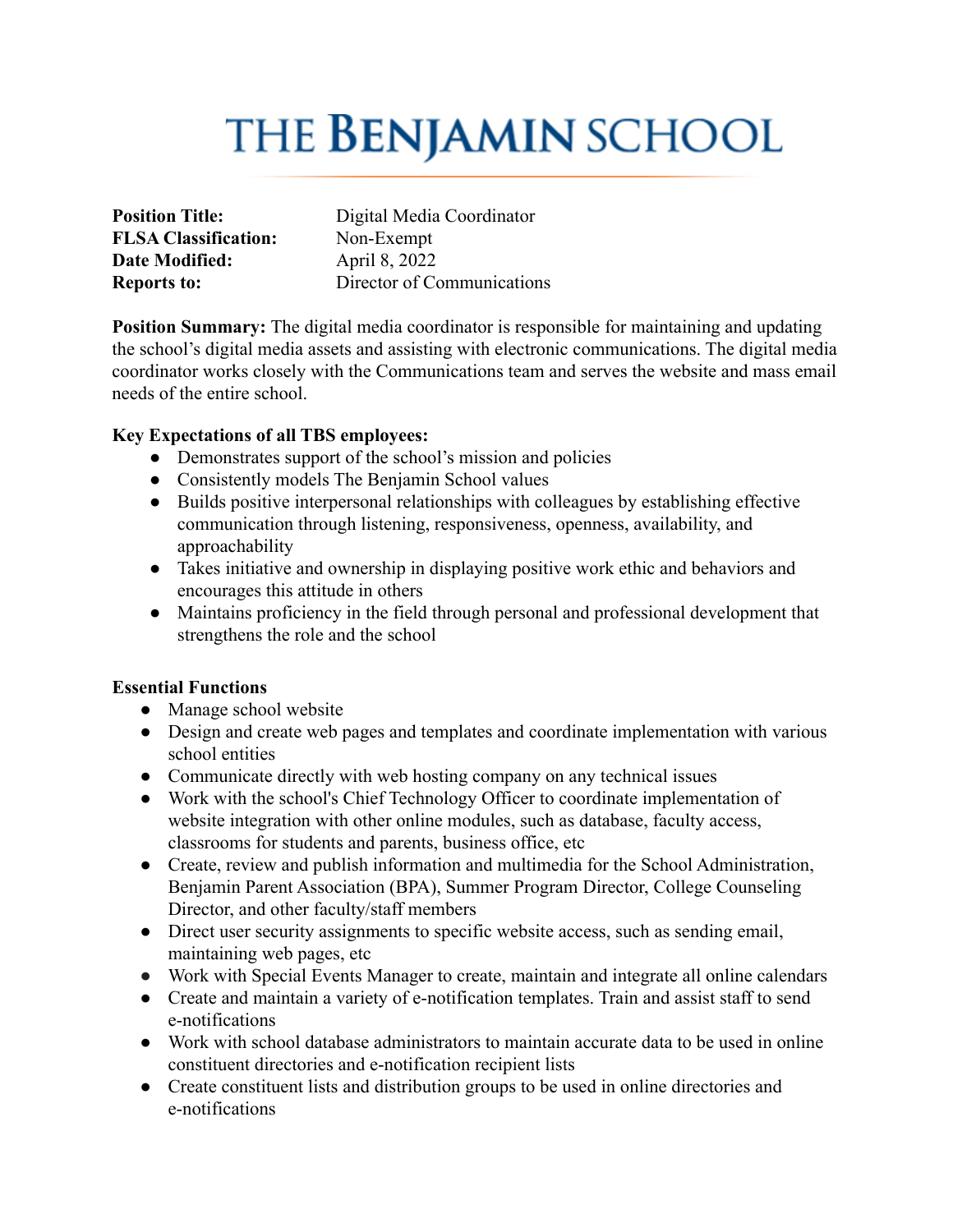# **THE BENJAMIN SCHOOL**

**FLSA Classification:** Non-Exempt **Date Modified:** April 8, 2022

**Position Title:** Digital Media Coordinator **Reports to:** Director of Communications

**Position Summary:** The digital media coordinator is responsible for maintaining and updating the school's digital media assets and assisting with electronic communications. The digital media coordinator works closely with the Communications team and serves the website and mass email needs of the entire school.

## **Key Expectations of all TBS employees:**

- Demonstrates support of the school's mission and policies
- Consistently models The Benjamin School values
- **●** Builds positive interpersonal relationships with colleagues by establishing effective communication through listening, responsiveness, openness, availability, and approachability
- Takes initiative and ownership in displaying positive work ethic and behaviors and encourages this attitude in others
- **●** Maintains proficiency in the field through personal and professional development that strengthens the role and the school

## **Essential Functions**

- Manage school website
- Design and create web pages and templates and coordinate implementation with various school entities
- Communicate directly with web hosting company on any technical issues
- Work with the school's Chief Technology Officer to coordinate implementation of website integration with other online modules, such as database, faculty access, classrooms for students and parents, business office, etc
- Create, review and publish information and multimedia for the School Administration, Benjamin Parent Association (BPA), Summer Program Director, College Counseling Director, and other faculty/staff members
- Direct user security assignments to specific website access, such as sending email, maintaining web pages, etc
- Work with Special Events Manager to create, maintain and integrate all online calendars
- Create and maintain a variety of e-notification templates. Train and assist staff to send e-notifications
- Work with school database administrators to maintain accurate data to be used in online constituent directories and e-notification recipient lists
- Create constituent lists and distribution groups to be used in online directories and e-notifications